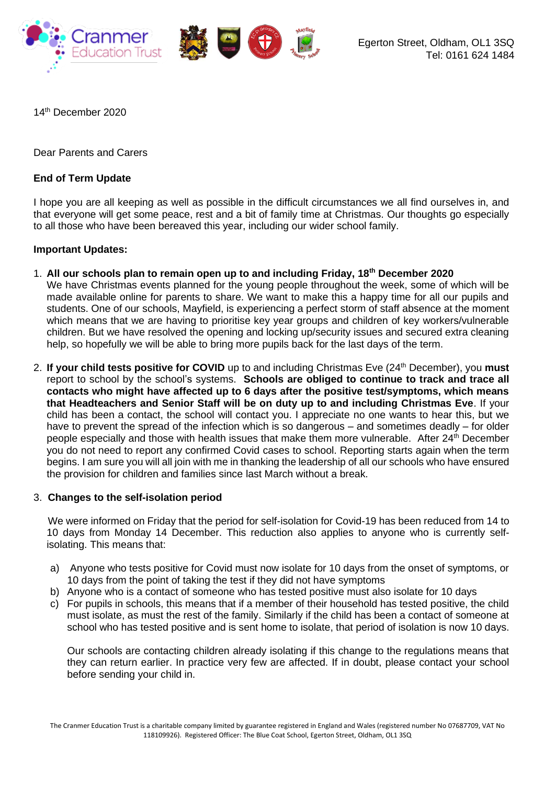

14th December 2020

Dear Parents and Carers

# **End of Term Update**

I hope you are all keeping as well as possible in the difficult circumstances we all find ourselves in, and that everyone will get some peace, rest and a bit of family time at Christmas. Our thoughts go especially to all those who have been bereaved this year, including our wider school family.

# **Important Updates:**

- 1. **All our schools plan to remain open up to and including Friday, 18th December 2020** We have Christmas events planned for the young people throughout the week, some of which will be made available online for parents to share. We want to make this a happy time for all our pupils and students. One of our schools, Mayfield, is experiencing a perfect storm of staff absence at the moment which means that we are having to prioritise key year groups and children of key workers/vulnerable children. But we have resolved the opening and locking up/security issues and secured extra cleaning help, so hopefully we will be able to bring more pupils back for the last days of the term.
- 2. **If your child tests positive for COVID** up to and including Christmas Eve (24th December), you **must** report to school by the school's systems. **Schools are obliged to continue to track and trace all contacts who might have affected up to 6 days after the positive test/symptoms, which means that Headteachers and Senior Staff will be on duty up to and including Christmas Eve**. If your child has been a contact, the school will contact you. I appreciate no one wants to hear this, but we have to prevent the spread of the infection which is so dangerous – and sometimes deadly – for older people especially and those with health issues that make them more vulnerable. After 24<sup>th</sup> December you do not need to report any confirmed Covid cases to school. Reporting starts again when the term begins. I am sure you will all join with me in thanking the leadership of all our schools who have ensured the provision for children and families since last March without a break.

### 3. **Changes to the self-isolation period**

 We were informed on Friday that the period for self-isolation for Covid-19 has been reduced from 14 to 10 days from Monday 14 December. This reduction also applies to anyone who is currently selfisolating. This means that:

- a) Anyone who tests positive for Covid must now isolate for 10 days from the onset of symptoms, or 10 days from the point of taking the test if they did not have symptoms
- b) Anyone who is a contact of someone who has tested positive must also isolate for 10 days
- c) For pupils in schools, this means that if a member of their household has tested positive, the child must isolate, as must the rest of the family. Similarly if the child has been a contact of someone at school who has tested positive and is sent home to isolate, that period of isolation is now 10 days.

Our schools are contacting children already isolating if this change to the regulations means that they can return earlier. In practice very few are affected. If in doubt, please contact your school before sending your child in.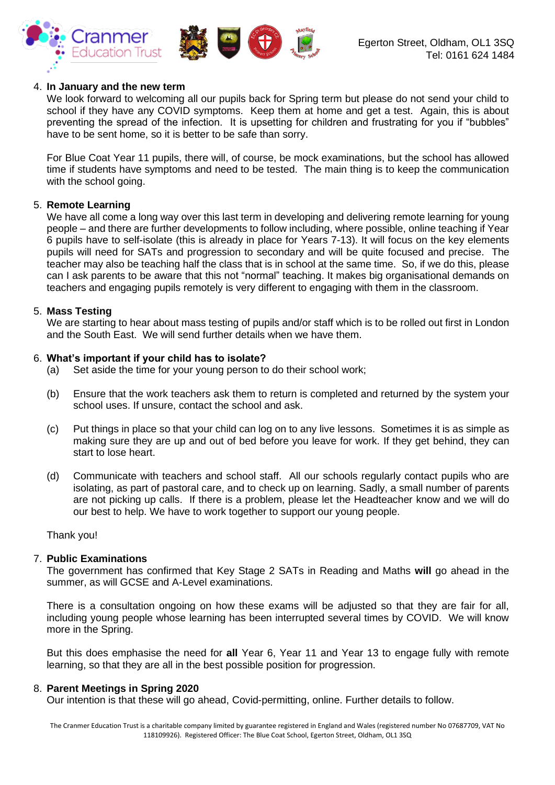



### 4. **In January and the new term**

We look forward to welcoming all our pupils back for Spring term but please do not send your child to school if they have any COVID symptoms. Keep them at home and get a test. Again, this is about preventing the spread of the infection. It is upsetting for children and frustrating for you if "bubbles" have to be sent home, so it is better to be safe than sorry.

For Blue Coat Year 11 pupils, there will, of course, be mock examinations, but the school has allowed time if students have symptoms and need to be tested. The main thing is to keep the communication with the school going.

# 5. **Remote Learning**

We have all come a long way over this last term in developing and delivering remote learning for young people – and there are further developments to follow including, where possible, online teaching if Year 6 pupils have to self-isolate (this is already in place for Years 7-13). It will focus on the key elements pupils will need for SATs and progression to secondary and will be quite focused and precise. The teacher may also be teaching half the class that is in school at the same time. So, if we do this, please can I ask parents to be aware that this not "normal" teaching. It makes big organisational demands on teachers and engaging pupils remotely is very different to engaging with them in the classroom.

### 5. **Mass Testing**

We are starting to hear about mass testing of pupils and/or staff which is to be rolled out first in London and the South East. We will send further details when we have them.

### 6. **What's important if your child has to isolate?**

- (a) Set aside the time for your young person to do their school work;
- (b) Ensure that the work teachers ask them to return is completed and returned by the system your school uses. If unsure, contact the school and ask.
- (c) Put things in place so that your child can log on to any live lessons. Sometimes it is as simple as making sure they are up and out of bed before you leave for work. If they get behind, they can start to lose heart.
- (d) Communicate with teachers and school staff. All our schools regularly contact pupils who are isolating, as part of pastoral care, and to check up on learning. Sadly, a small number of parents are not picking up calls. If there is a problem, please let the Headteacher know and we will do our best to help. We have to work together to support our young people.

Thank you!

### 7. **Public Examinations**

The government has confirmed that Key Stage 2 SATs in Reading and Maths **will** go ahead in the summer, as will GCSE and A-Level examinations.

There is a consultation ongoing on how these exams will be adjusted so that they are fair for all, including young people whose learning has been interrupted several times by COVID. We will know more in the Spring.

But this does emphasise the need for **all** Year 6, Year 11 and Year 13 to engage fully with remote learning, so that they are all in the best possible position for progression.

### 8. **Parent Meetings in Spring 2020**

Our intention is that these will go ahead, Covid-permitting, online. Further details to follow.